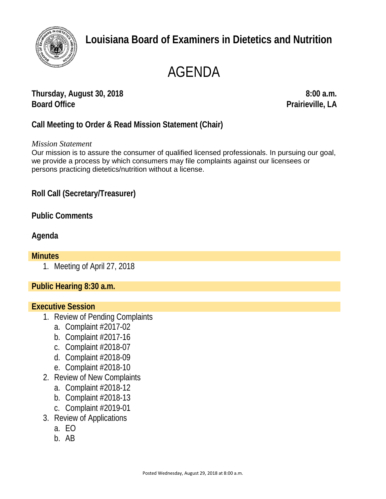

# **Louisiana Board of Examiners in Dietetics and Nutrition**

# AGENDA

**Thursday, August 30, 2018 8:00 a.m. Board Office Prairieville, LA**

**Call Meeting to Order & Read Mission Statement (Chair)**

*Mission Statement*

Our mission is to assure the consumer of qualified licensed professionals. In pursuing our goal, we provide a process by which consumers may file complaints against our licensees or persons practicing dietetics/nutrition without a license.

**Roll Call (Secretary/Treasurer)**

**Public Comments**

## **Agenda**

#### **Minutes**

1. Meeting of April 27, 2018

**Public Hearing 8:30 a.m.**

### **Executive Session**

- 1. Review of Pending Complaints
	- a. Complaint #2017-02
	- b. Complaint #2017-16
	- c. Complaint #2018-07
	- d. Complaint #2018-09
	- e. Complaint #2018-10
- 2. Review of New Complaints
	- a. Complaint #2018-12
	- b. Complaint #2018-13
	- c. Complaint #2019-01
- 3. Review of Applications
	- a. EO
	- b. AB